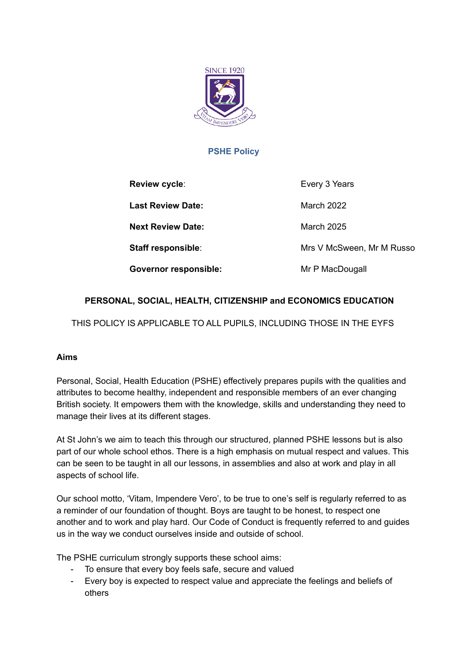

# **PSHE Policy**

| Review cycle:                | Every 3 Years             |
|------------------------------|---------------------------|
| <b>Last Review Date:</b>     | March 2022                |
| <b>Next Review Date:</b>     | <b>March 2025</b>         |
| <b>Staff responsible:</b>    | Mrs V McSween, Mr M Russo |
| <b>Governor responsible:</b> | Mr P MacDougall           |

# **PERSONAL, SOCIAL, HEALTH, CITIZENSHIP and ECONOMICS EDUCATION**

THIS POLICY IS APPLICABLE TO ALL PUPILS, INCLUDING THOSE IN THE EYFS

## **Aims**

Personal, Social, Health Education (PSHE) effectively prepares pupils with the qualities and attributes to become healthy, independent and responsible members of an ever changing British society. It empowers them with the knowledge, skills and understanding they need to manage their lives at its different stages.

At St John's we aim to teach this through our structured, planned PSHE lessons but is also part of our whole school ethos. There is a high emphasis on mutual respect and values. This can be seen to be taught in all our lessons, in assemblies and also at work and play in all aspects of school life.

Our school motto, 'Vitam, Impendere Vero', to be true to one's self is regularly referred to as a reminder of our foundation of thought. Boys are taught to be honest, to respect one another and to work and play hard. Our Code of Conduct is frequently referred to and guides us in the way we conduct ourselves inside and outside of school.

The PSHE curriculum strongly supports these school aims:

- To ensure that every boy feels safe, secure and valued
- Every boy is expected to respect value and appreciate the feelings and beliefs of others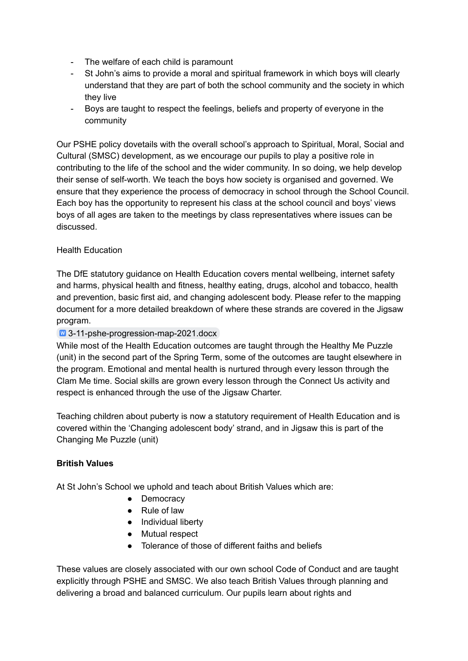- The welfare of each child is paramount
- St John's aims to provide a moral and spiritual framework in which boys will clearly understand that they are part of both the school community and the society in which they live
- Boys are taught to respect the feelings, beliefs and property of everyone in the community

Our PSHE policy dovetails with the overall school's approach to Spiritual, Moral, Social and Cultural (SMSC) development, as we encourage our pupils to play a positive role in contributing to the life of the school and the wider community. In so doing, we help develop their sense of self-worth. We teach the boys how society is organised and governed. We ensure that they experience the process of democracy in school through the School Council. Each boy has the opportunity to represent his class at the school council and boys' views boys of all ages are taken to the meetings by class representatives where issues can be discussed.

## Health Education

The DfE statutory guidance on Health Education covers mental wellbeing, internet safety and harms, physical health and fitness, healthy eating, drugs, alcohol and tobacco, health and prevention, basic first aid, and changing adolescent body. Please refer to the mapping document for a more detailed breakdown of where these strands are covered in the Jigsaw program.

## [3-11-pshe-progression-map-2021.docx](https://docs.google.com/document/d/1FMc93iEM3cnW3dYDCRstKvhOSaMjxInw/edit?usp=sharing&ouid=114355935836714001153&rtpof=true&sd=true)

While most of the Health Education outcomes are taught through the Healthy Me Puzzle (unit) in the second part of the Spring Term, some of the outcomes are taught elsewhere in the program. Emotional and mental health is nurtured through every lesson through the Clam Me time. Social skills are grown every lesson through the Connect Us activity and respect is enhanced through the use of the Jigsaw Charter.

Teaching children about puberty is now a statutory requirement of Health Education and is covered within the 'Changing adolescent body' strand, and in Jigsaw this is part of the Changing Me Puzzle (unit)

## **British Values**

At St John's School we uphold and teach about British Values which are:

- Democracy
- Rule of law
- Individual liberty
- Mutual respect
- Tolerance of those of different faiths and beliefs

These values are closely associated with our own school Code of Conduct and are taught explicitly through PSHE and SMSC. We also teach British Values through planning and delivering a broad and balanced curriculum. Our pupils learn about rights and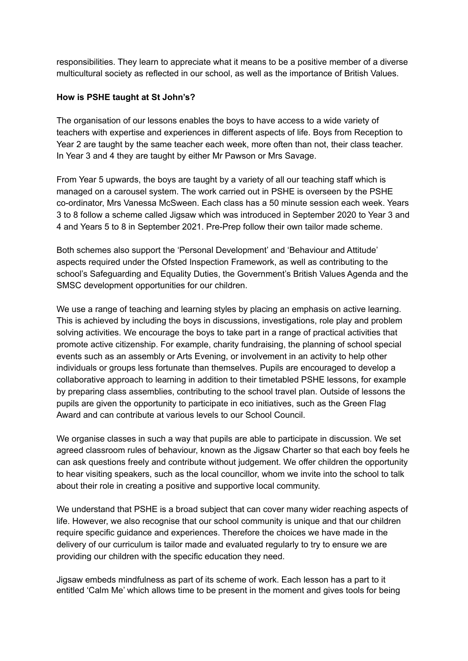responsibilities. They learn to appreciate what it means to be a positive member of a diverse multicultural society as reflected in our school, as well as the importance of British Values.

#### **How is PSHE taught at St John's?**

The organisation of our lessons enables the boys to have access to a wide variety of teachers with expertise and experiences in different aspects of life. Boys from Reception to Year 2 are taught by the same teacher each week, more often than not, their class teacher. In Year 3 and 4 they are taught by either Mr Pawson or Mrs Savage.

From Year 5 upwards, the boys are taught by a variety of all our teaching staff which is managed on a carousel system. The work carried out in PSHE is overseen by the PSHE co-ordinator, Mrs Vanessa McSween. Each class has a 50 minute session each week. Years 3 to 8 follow a scheme called Jigsaw which was introduced in September 2020 to Year 3 and 4 and Years 5 to 8 in September 2021. Pre-Prep follow their own tailor made scheme.

Both schemes also support the 'Personal Development' and 'Behaviour and Attitude' aspects required under the Ofsted Inspection Framework, as well as contributing to the school's Safeguarding and Equality Duties, the Government's British Values Agenda and the SMSC development opportunities for our children.

We use a range of teaching and learning styles by placing an emphasis on active learning. This is achieved by including the boys in discussions, investigations, role play and problem solving activities. We encourage the boys to take part in a range of practical activities that promote active citizenship. For example, charity fundraising, the planning of school special events such as an assembly or Arts Evening, or involvement in an activity to help other individuals or groups less fortunate than themselves. Pupils are encouraged to develop a collaborative approach to learning in addition to their timetabled PSHE lessons, for example by preparing class assemblies, contributing to the school travel plan. Outside of lessons the pupils are given the opportunity to participate in eco initiatives, such as the Green Flag Award and can contribute at various levels to our School Council.

We organise classes in such a way that pupils are able to participate in discussion. We set agreed classroom rules of behaviour, known as the Jigsaw Charter so that each boy feels he can ask questions freely and contribute without judgement. We offer children the opportunity to hear visiting speakers, such as the local councillor, whom we invite into the school to talk about their role in creating a positive and supportive local community.

We understand that PSHE is a broad subject that can cover many wider reaching aspects of life. However, we also recognise that our school community is unique and that our children require specific guidance and experiences. Therefore the choices we have made in the delivery of our curriculum is tailor made and evaluated regularly to try to ensure we are providing our children with the specific education they need.

Jigsaw embeds mindfulness as part of its scheme of work. Each lesson has a part to it entitled 'Calm Me' which allows time to be present in the moment and gives tools for being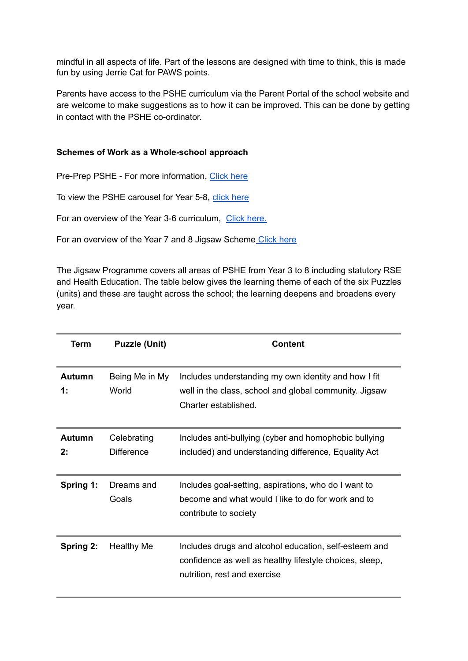mindful in all aspects of life. Part of the lessons are designed with time to think, this is made fun by using Jerrie Cat for PAWS points.

Parents have access to the PSHE curriculum via the Parent Portal of the school website and are welcome to make suggestions as to how it can be improved. This can be done by getting in contact with the PSHE co-ordinator.

#### **Schemes of Work as a Whole-school approach**

Pre-Prep PSHE - For more information, [Click](https://docs.google.com/spreadsheets/d/10emJJbm7NxzuPqBAVQyJRKgIp5a3cHiF/edit#gid=1534590013) here

To view the PSHE carousel for Year 5-8, click [here](https://docs.google.com/spreadsheets/d/1h1OktHnX4y6C8Qlwp_McbR-cR0BFuwXscxW8yi2aPiI/edit?usp=sharing)

For an overview of the Year 3-6 curriculum, Click [here.](https://docs.google.com/document/d/1FMc93iEM3cnW3dYDCRstKvhOSaMjxInw/edit?usp=sharing&ouid=114355935836714001153&rtpof=true&sd=true)

For an overview of the Year 7 and 8 Jigsaw Scheme [Click](https://drive.google.com/file/d/1kmKWKip9AkZhx68le9rZ7O0u_yMNaOsK/view?usp=sharing) here

The Jigsaw Programme covers all areas of PSHE from Year 3 to 8 including statutory RSE and Health Education. The table below gives the learning theme of each of the six Puzzles (units) and these are taught across the school; the learning deepens and broadens every year.

| Term                   | <b>Puzzle (Unit)</b>             | <b>Content</b>                                                                                                                                   |
|------------------------|----------------------------------|--------------------------------------------------------------------------------------------------------------------------------------------------|
| Autumn<br>$\ddagger$ : | Being Me in My<br>World          | Includes understanding my own identity and how I fit<br>well in the class, school and global community. Jigsaw<br>Charter established.           |
| Autumn<br>2:           | Celebrating<br><b>Difference</b> | Includes anti-bullying (cyber and homophobic bullying<br>included) and understanding difference, Equality Act                                    |
| Spring 1:              | Dreams and<br>Goals              | Includes goal-setting, aspirations, who do I want to<br>become and what would I like to do for work and to<br>contribute to society              |
| Spring 2:              | <b>Healthy Me</b>                | Includes drugs and alcohol education, self-esteem and<br>confidence as well as healthy lifestyle choices, sleep,<br>nutrition, rest and exercise |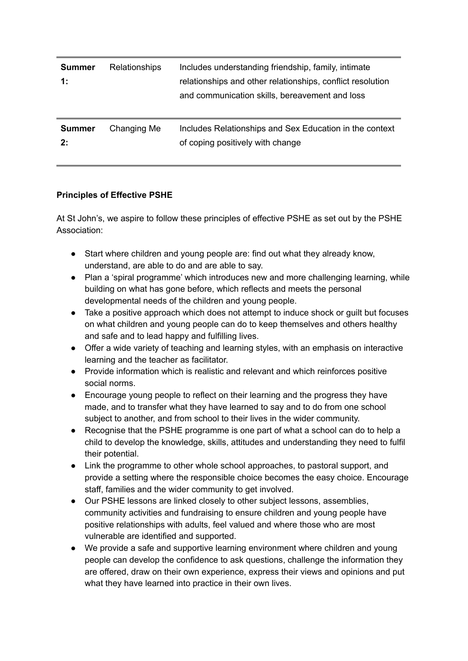| <b>Summer</b><br>$\ddagger$ : | <b>Relationships</b> | Includes understanding friendship, family, intimate<br>relationships and other relationships, conflict resolution<br>and communication skills, bereavement and loss |
|-------------------------------|----------------------|---------------------------------------------------------------------------------------------------------------------------------------------------------------------|
| <b>Summer</b><br>2:           | Changing Me          | Includes Relationships and Sex Education in the context<br>of coping positively with change                                                                         |

## **Principles of Effective PSHE**

At St John's, we aspire to follow these principles of effective PSHE as set out by the PSHE Association:

- Start where children and young people are: find out what they already know, understand, are able to do and are able to say.
- Plan a 'spiral programme' which introduces new and more challenging learning, while building on what has gone before, which reflects and meets the personal developmental needs of the children and young people.
- Take a positive approach which does not attempt to induce shock or guilt but focuses on what children and young people can do to keep themselves and others healthy and safe and to lead happy and fulfilling lives.
- Offer a wide variety of teaching and learning styles, with an emphasis on interactive learning and the teacher as facilitator.
- Provide information which is realistic and relevant and which reinforces positive social norms.
- Encourage young people to reflect on their learning and the progress they have made, and to transfer what they have learned to say and to do from one school subject to another, and from school to their lives in the wider community.
- Recognise that the PSHE programme is one part of what a school can do to help a child to develop the knowledge, skills, attitudes and understanding they need to fulfil their potential.
- Link the programme to other whole school approaches, to pastoral support, and provide a setting where the responsible choice becomes the easy choice. Encourage staff, families and the wider community to get involved.
- Our PSHE lessons are linked closely to other subject lessons, assemblies, community activities and fundraising to ensure children and young people have positive relationships with adults, feel valued and where those who are most vulnerable are identified and supported.
- We provide a safe and supportive learning environment where children and young people can develop the confidence to ask questions, challenge the information they are offered, draw on their own experience, express their views and opinions and put what they have learned into practice in their own lives.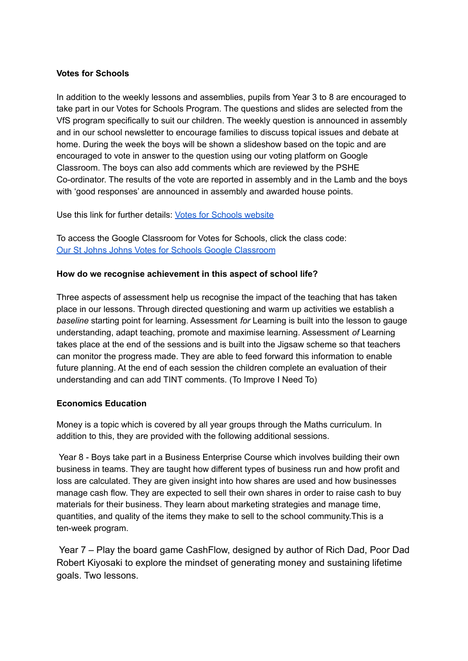#### **Votes for Schools**

In addition to the weekly lessons and assemblies, pupils from Year 3 to 8 are encouraged to take part in our Votes for Schools Program. The questions and slides are selected from the VfS program specifically to suit our children. The weekly question is announced in assembly and in our school newsletter to encourage families to discuss topical issues and debate at home. During the week the boys will be shown a slideshow based on the topic and are encouraged to vote in answer to the question using our voting platform on Google Classroom. The boys can also add comments which are reviewed by the PSHE Co-ordinator. The results of the vote are reported in assembly and in the Lamb and the boys with 'good responses' are announced in assembly and awarded house points.

Use this link for further details: Votes for [Schools](https://www.votesforschools.com/) website

To access the Google Classroom for Votes for Schools, click the class code: Our St Johns Johns Votes for Schools Google [Classroom](https://classroom.google.com/c/Nzg1OTIxOTI4OFpa)

#### **How do we recognise achievement in this aspect of school life?**

Three aspects of assessment help us recognise the impact of the teaching that has taken place in our lessons. Through directed questioning and warm up activities we establish a *baseline* starting point for learning. Assessment *for* Learning is built into the lesson to gauge understanding, adapt teaching, promote and maximise learning. Assessment *of* Learning takes place at the end of the sessions and is built into the Jigsaw scheme so that teachers can monitor the progress made. They are able to feed forward this information to enable future planning. At the end of each session the children complete an evaluation of their understanding and can add TINT comments. (To Improve I Need To)

#### **Economics Education**

Money is a topic which is covered by all year groups through the Maths curriculum. In addition to this, they are provided with the following additional sessions.

Year 8 - Boys take part in a Business Enterprise Course which involves building their own business in teams. They are taught how different types of business run and how profit and loss are calculated. They are given insight into how shares are used and how businesses manage cash flow. They are expected to sell their own shares in order to raise cash to buy materials for their business. They learn about marketing strategies and manage time, quantities, and quality of the items they make to sell to the school community.This is a ten-week program.

Year 7 – Play the board game CashFlow, designed by author of Rich Dad, Poor Dad Robert Kiyosaki to explore the mindset of generating money and sustaining lifetime goals. Two lessons.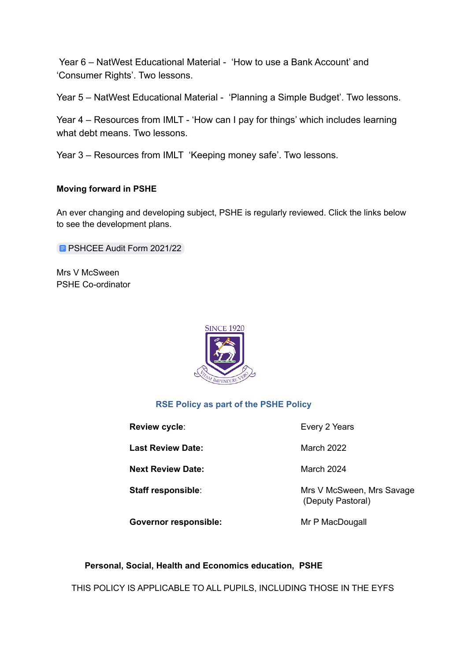Year 6 – NatWest Educational Material - 'How to use a Bank Account' and 'Consumer Rights'. Two lessons.

Year 5 – NatWest Educational Material - 'Planning a Simple Budget'. Two lessons.

Year 4 – Resources from IMLT - 'How can I pay for things' which includes learning what debt means. Two lessons.

Year 3 – Resources from IMLT 'Keeping money safe'. Two lessons.

## **Moving forward in PSHE**

An ever changing and developing subject, PSHE is regularly reviewed. Click the links below to see the development plans.

**B [PSHCEE](https://docs.google.com/document/d/1lIw9iRjxq6Nw2lG90OQm3ay_3JxqjeqWo7ob0L28vH4/edit?usp=sharing) Audit Form 2021/22** 

Mrs V McSween PSHE Co-ordinator



## **RSE Policy as part of the PSHE Policy**

| Review cycle:                | Every 2 Years                                  |
|------------------------------|------------------------------------------------|
| <b>Last Review Date:</b>     | March 2022                                     |
| <b>Next Review Date:</b>     | March 2024                                     |
| Staff responsible:           | Mrs V McSween, Mrs Savage<br>(Deputy Pastoral) |
| <b>Governor responsible:</b> | Mr P MacDougall                                |

## **Personal, Social, Health and Economics education, PSHE**

THIS POLICY IS APPLICABLE TO ALL PUPILS, INCLUDING THOSE IN THE EYFS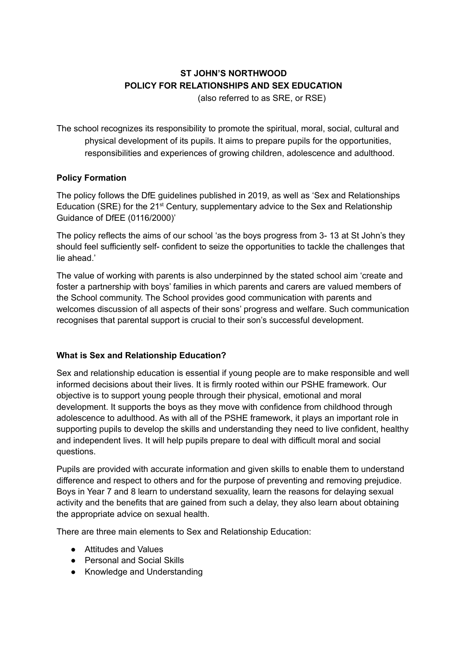# **ST JOHN'S NORTHWOOD POLICY FOR RELATIONSHIPS AND SEX EDUCATION**

(also referred to as SRE, or RSE)

The school recognizes its responsibility to promote the spiritual, moral, social, cultural and physical development of its pupils. It aims to prepare pupils for the opportunities, responsibilities and experiences of growing children, adolescence and adulthood.

## **Policy Formation**

The policy follows the DfE guidelines published in 2019, as well as 'Sex and Relationships Education (SRE) for the 21<sup>st</sup> Century, supplementary advice to the Sex and Relationship Guidance of DfEE (0116/2000)'

The policy reflects the aims of our school 'as the boys progress from 3- 13 at St John's they should feel sufficiently self- confident to seize the opportunities to tackle the challenges that lie ahead.'

The value of working with parents is also underpinned by the stated school aim 'create and foster a partnership with boys' families in which parents and carers are valued members of the School community. The School provides good communication with parents and welcomes discussion of all aspects of their sons' progress and welfare. Such communication recognises that parental support is crucial to their son's successful development.

# **What is Sex and Relationship Education?**

Sex and relationship education is essential if young people are to make responsible and well informed decisions about their lives. It is firmly rooted within our PSHE framework. Our objective is to support young people through their physical, emotional and moral development. It supports the boys as they move with confidence from childhood through adolescence to adulthood. As with all of the PSHE framework, it plays an important role in supporting pupils to develop the skills and understanding they need to live confident, healthy and independent lives. It will help pupils prepare to deal with difficult moral and social questions.

Pupils are provided with accurate information and given skills to enable them to understand difference and respect to others and for the purpose of preventing and removing prejudice. Boys in Year 7 and 8 learn to understand sexuality, learn the reasons for delaying sexual activity and the benefits that are gained from such a delay, they also learn about obtaining the appropriate advice on sexual health.

There are three main elements to Sex and Relationship Education:

- Attitudes and Values
- Personal and Social Skills
- Knowledge and Understanding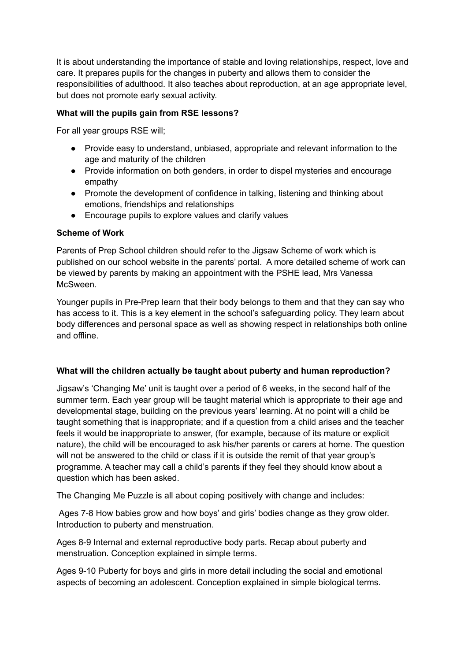It is about understanding the importance of stable and loving relationships, respect, love and care. It prepares pupils for the changes in puberty and allows them to consider the responsibilities of adulthood. It also teaches about reproduction, at an age appropriate level, but does not promote early sexual activity.

## **What will the pupils gain from RSE lessons?**

For all year groups RSE will;

- Provide easy to understand, unbiased, appropriate and relevant information to the age and maturity of the children
- Provide information on both genders, in order to dispel mysteries and encourage empathy
- Promote the development of confidence in talking, listening and thinking about emotions, friendships and relationships
- Encourage pupils to explore values and clarify values

#### **Scheme of Work**

Parents of Prep School children should refer to the Jigsaw Scheme of work which is published on our school website in the parents' portal. A more detailed scheme of work can be viewed by parents by making an appointment with the PSHE lead, Mrs Vanessa McSween.

Younger pupils in Pre-Prep learn that their body belongs to them and that they can say who has access to it. This is a key element in the school's safeguarding policy. They learn about body differences and personal space as well as showing respect in relationships both online and offline.

#### **What will the children actually be taught about puberty and human reproduction?**

Jigsaw's 'Changing Me' unit is taught over a period of 6 weeks, in the second half of the summer term. Each year group will be taught material which is appropriate to their age and developmental stage, building on the previous years' learning. At no point will a child be taught something that is inappropriate; and if a question from a child arises and the teacher feels it would be inappropriate to answer, (for example, because of its mature or explicit nature), the child will be encouraged to ask his/her parents or carers at home. The question will not be answered to the child or class if it is outside the remit of that year group's programme. A teacher may call a child's parents if they feel they should know about a question which has been asked.

The Changing Me Puzzle is all about coping positively with change and includes:

Ages 7-8 How babies grow and how boys' and girls' bodies change as they grow older. Introduction to puberty and menstruation.

Ages 8-9 Internal and external reproductive body parts. Recap about puberty and menstruation. Conception explained in simple terms.

Ages 9-10 Puberty for boys and girls in more detail including the social and emotional aspects of becoming an adolescent. Conception explained in simple biological terms.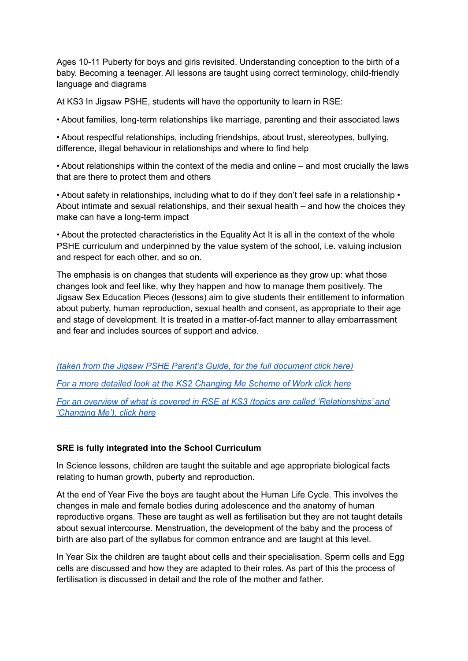Ages 10-11 Puberty for boys and girls revisited. Understanding conception to the birth of a baby. Becoming a teenager. All lessons are taught using correct terminology, child-friendly language and diagrams

At KS3 In Jigsaw PSHE, students will have the opportunity to learn in RSE:

• About families, long-term relationships like marriage, parenting and their associated laws

• About respectful relationships, including friendships, about trust, stereotypes, bullying, difference, illegal behaviour in relationships and where to find help

• About relationships within the context of the media and online – and most crucially the laws that are there to protect them and others

• About safety in relationships, including what to do if they don't feel safe in a relationship • About intimate and sexual relationships, and their sexual health – and how the choices they make can have a long-term impact

• About the protected characteristics in the Equality Act It is all in the context of the whole PSHE curriculum and underpinned by the value system of the school, i.e. valuing inclusion and respect for each other, and so on.

The emphasis is on changes that students will experience as they grow up: what those changes look and feel like, why they happen and how to manage them positively. The Jigsaw Sex Education Pieces (lessons) aim to give students their entitlement to information about puberty, human reproduction, sexual health and consent, as appropriate to their age and stage of development. It is treated in a matter-of-fact manner to allay embarrassment and fear and includes sources of support and advice.

*(taken from the Jigsaw PSHE Parent's Guide, for the full [document](https://drive.google.com/file/d/19Sfqe0ZvUJECEH0YASwODriYS4Itta96/view?usp=sharing) click here)*

*For a more detailed look at the KS2 [Changing](https://drive.google.com/file/d/1oqSlsVnNFVrXpMXgYIiwIMA5SzhQZRCs/view?usp=sharing) Me Scheme of Work click here*

*For an overview of what is covered in RSE at KS3 (topics are called ['Relationships'](https://drive.google.com/file/d/1kmKWKip9AkZhx68le9rZ7O0u_yMNaOsK/view?usp=sharing) and ['Changing](https://drive.google.com/file/d/1kmKWKip9AkZhx68le9rZ7O0u_yMNaOsK/view?usp=sharing) Me'), click here*

## **SRE is fully integrated into the School Curriculum**

In Science lessons, children are taught the suitable and age appropriate biological facts relating to human growth, puberty and reproduction.

At the end of Year Five the boys are taught about the Human Life Cycle. This involves the changes in male and female bodies during adolescence and the anatomy of human reproductive organs. These are taught as well as fertilisation but they are not taught details about sexual intercourse. Menstruation, the development of the baby and the process of birth are also part of the syllabus for common entrance and are taught at this level.

In Year Six the children are taught about cells and their specialisation. Sperm cells and Egg cells are discussed and how they are adapted to their roles. As part of this the process of fertilisation is discussed in detail and the role of the mother and father.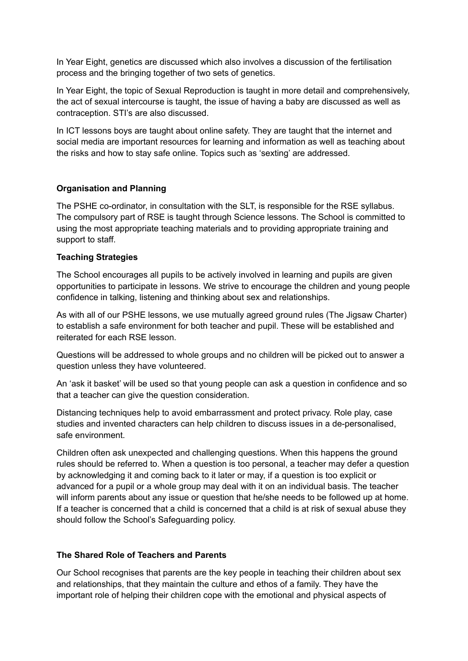In Year Eight, genetics are discussed which also involves a discussion of the fertilisation process and the bringing together of two sets of genetics.

In Year Eight, the topic of Sexual Reproduction is taught in more detail and comprehensively, the act of sexual intercourse is taught, the issue of having a baby are discussed as well as contraception. STI's are also discussed.

In ICT lessons boys are taught about online safety. They are taught that the internet and social media are important resources for learning and information as well as teaching about the risks and how to stay safe online. Topics such as 'sexting' are addressed.

## **Organisation and Planning**

The PSHE co-ordinator, in consultation with the SLT, is responsible for the RSE syllabus. The compulsory part of RSE is taught through Science lessons. The School is committed to using the most appropriate teaching materials and to providing appropriate training and support to staff.

## **Teaching Strategies**

The School encourages all pupils to be actively involved in learning and pupils are given opportunities to participate in lessons. We strive to encourage the children and young people confidence in talking, listening and thinking about sex and relationships.

As with all of our PSHE lessons, we use mutually agreed ground rules (The Jigsaw Charter) to establish a safe environment for both teacher and pupil. These will be established and reiterated for each RSE lesson.

Questions will be addressed to whole groups and no children will be picked out to answer a question unless they have volunteered.

An 'ask it basket' will be used so that young people can ask a question in confidence and so that a teacher can give the question consideration.

Distancing techniques help to avoid embarrassment and protect privacy. Role play, case studies and invented characters can help children to discuss issues in a de-personalised, safe environment.

Children often ask unexpected and challenging questions. When this happens the ground rules should be referred to. When a question is too personal, a teacher may defer a question by acknowledging it and coming back to it later or may, if a question is too explicit or advanced for a pupil or a whole group may deal with it on an individual basis. The teacher will inform parents about any issue or question that he/she needs to be followed up at home. If a teacher is concerned that a child is concerned that a child is at risk of sexual abuse they should follow the School's Safeguarding policy.

## **The Shared Role of Teachers and Parents**

Our School recognises that parents are the key people in teaching their children about sex and relationships, that they maintain the culture and ethos of a family. They have the important role of helping their children cope with the emotional and physical aspects of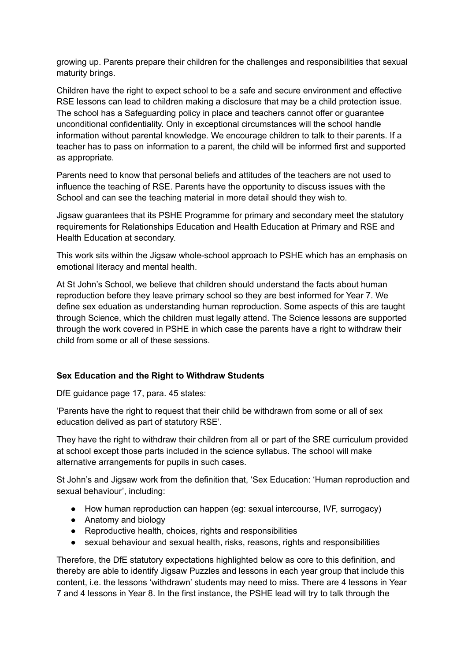growing up. Parents prepare their children for the challenges and responsibilities that sexual maturity brings.

Children have the right to expect school to be a safe and secure environment and effective RSE lessons can lead to children making a disclosure that may be a child protection issue. The school has a Safeguarding policy in place and teachers cannot offer or guarantee unconditional confidentiality. Only in exceptional circumstances will the school handle information without parental knowledge. We encourage children to talk to their parents. If a teacher has to pass on information to a parent, the child will be informed first and supported as appropriate.

Parents need to know that personal beliefs and attitudes of the teachers are not used to influence the teaching of RSE. Parents have the opportunity to discuss issues with the School and can see the teaching material in more detail should they wish to.

Jigsaw guarantees that its PSHE Programme for primary and secondary meet the statutory requirements for Relationships Education and Health Education at Primary and RSE and Health Education at secondary.

This work sits within the Jigsaw whole-school approach to PSHE which has an emphasis on emotional literacy and mental health.

At St John's School, we believe that children should understand the facts about human reproduction before they leave primary school so they are best informed for Year 7. We define sex eduation as understanding human reproduction. Some aspects of this are taught through Science, which the children must legally attend. The Science lessons are supported through the work covered in PSHE in which case the parents have a right to withdraw their child from some or all of these sessions.

## **Sex Education and the Right to Withdraw Students**

DfE guidance page 17, para. 45 states:

'Parents have the right to request that their child be withdrawn from some or all of sex education delived as part of statutory RSE'.

They have the right to withdraw their children from all or part of the SRE curriculum provided at school except those parts included in the science syllabus. The school will make alternative arrangements for pupils in such cases.

St John's and Jigsaw work from the definition that, 'Sex Education: 'Human reproduction and sexual behaviour', including:

- How human reproduction can happen (eg: sexual intercourse, IVF, surrogacy)
- Anatomy and biology
- Reproductive health, choices, rights and responsibilities
- sexual behaviour and sexual health, risks, reasons, rights and responsibilities

Therefore, the DfE statutory expectations highlighted below as core to this definition, and thereby are able to identify Jigsaw Puzzles and lessons in each year group that include this content, i.e. the lessons 'withdrawn' students may need to miss. There are 4 lessons in Year 7 and 4 lessons in Year 8. In the first instance, the PSHE lead will try to talk through the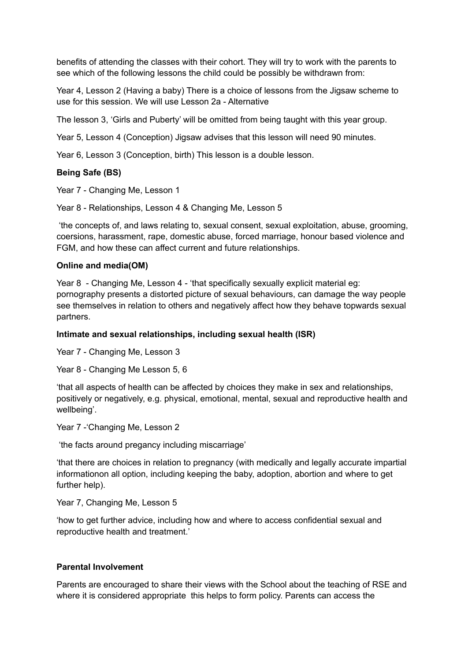benefits of attending the classes with their cohort. They will try to work with the parents to see which of the following lessons the child could be possibly be withdrawn from:

Year 4, Lesson 2 (Having a baby) There is a choice of lessons from the Jigsaw scheme to use for this session. We will use Lesson 2a - Alternative

The lesson 3, 'Girls and Puberty' will be omitted from being taught with this year group.

Year 5, Lesson 4 (Conception) Jigsaw advises that this lesson will need 90 minutes.

Year 6, Lesson 3 (Conception, birth) This lesson is a double lesson.

#### **Being Safe (BS)**

Year 7 - Changing Me, Lesson 1

Year 8 - Relationships, Lesson 4 & Changing Me, Lesson 5

'the concepts of, and laws relating to, sexual consent, sexual exploitation, abuse, grooming, coersions, harassment, rape, domestic abuse, forced marriage, honour based violence and FGM, and how these can affect current and future relationships.

#### **Online and media(OM)**

Year 8 - Changing Me, Lesson 4 - 'that specifically sexually explicit material eg: pornography presents a distorted picture of sexual behaviours, can damage the way people see themselves in relation to others and negatively affect how they behave topwards sexual partners.

#### **Intimate and sexual relationships, including sexual health (ISR)**

Year 7 - Changing Me, Lesson 3

Year 8 - Changing Me Lesson 5, 6

'that all aspects of health can be affected by choices they make in sex and relationships, positively or negatively, e.g. physical, emotional, mental, sexual and reproductive health and wellbeing'.

Year 7 - Changing Me, Lesson 2

'the facts around pregancy including miscarriage'

'that there are choices in relation to pregnancy (with medically and legally accurate impartial informationon all option, including keeping the baby, adoption, abortion and where to get further help).

Year 7, Changing Me, Lesson 5

'how to get further advice, including how and where to access confidential sexual and reproductive health and treatment.'

## **Parental Involvement**

Parents are encouraged to share their views with the School about the teaching of RSE and where it is considered appropriate this helps to form policy. Parents can access the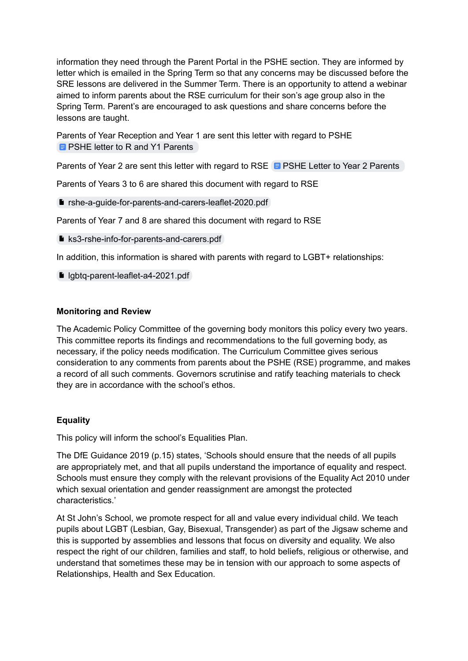information they need through the Parent Portal in the PSHE section. They are informed by letter which is emailed in the Spring Term so that any concerns may be discussed before the SRE lessons are delivered in the Summer Term. There is an opportunity to attend a webinar aimed to inform parents about the RSE curriculum for their son's age group also in the Spring Term. Parent's are encouraged to ask questions and share concerns before the lessons are taught.

Parents of Year Reception and Year 1 are sent this letter with regard to PSHE **E** PSHE letter to R and Y1 [Parents](https://docs.google.com/document/d/1TRM9sDF50yDEhBqaosy5XFs6lkarvzRYeKsNuD7Gq0s/edit?usp=sharing)

[Parents](https://docs.google.com/document/d/1e-woWW6gI_8mI42F3CtdcH4wFpSRQZFWMShzQ60jnbY/edit?usp=sharing) of Year 2 are sent this letter with regard to RSE **B** PSHE Letter to Year 2 Parents

Parents of Years 3 to 6 are shared this document with regard to RSE

**P** rshe-a-quide-for-parents-and-carers-leaflet-2020.pdf

Parents of Year 7 and 8 are shared this document with regard to RSE

■ [ks3-rshe-info-for-parents-and-carers.pdf](https://drive.google.com/file/d/19Sfqe0ZvUJECEH0YASwODriYS4Itta96/view?usp=sharing)

In addition, this information is shared with parents with regard to LGBT+ relationships:

[lgbtq-parent-leaflet-a4-2021.pdf](https://drive.google.com/file/d/1lWp4rrhSxCjcTH_okKSWYZq5FPFJf7hN/view?usp=sharing)

#### **Monitoring and Review**

The Academic Policy Committee of the governing body monitors this policy every two years. This committee reports its findings and recommendations to the full governing body, as necessary, if the policy needs modification. The Curriculum Committee gives serious consideration to any comments from parents about the PSHE (RSE) programme, and makes a record of all such comments. Governors scrutinise and ratify teaching materials to check they are in accordance with the school's ethos.

## **Equality**

This policy will inform the school's Equalities Plan.

The DfE Guidance 2019 (p.15) states, 'Schools should ensure that the needs of all pupils are appropriately met, and that all pupils understand the importance of equality and respect. Schools must ensure they comply with the relevant provisions of the Equality Act 2010 under which sexual orientation and gender reassignment are amongst the protected characteristics.'

At St John's School, we promote respect for all and value every individual child. We teach pupils about LGBT (Lesbian, Gay, Bisexual, Transgender) as part of the Jigsaw scheme and this is supported by assemblies and lessons that focus on diversity and equality. We also respect the right of our children, families and staff, to hold beliefs, religious or otherwise, and understand that sometimes these may be in tension with our approach to some aspects of Relationships, Health and Sex Education.